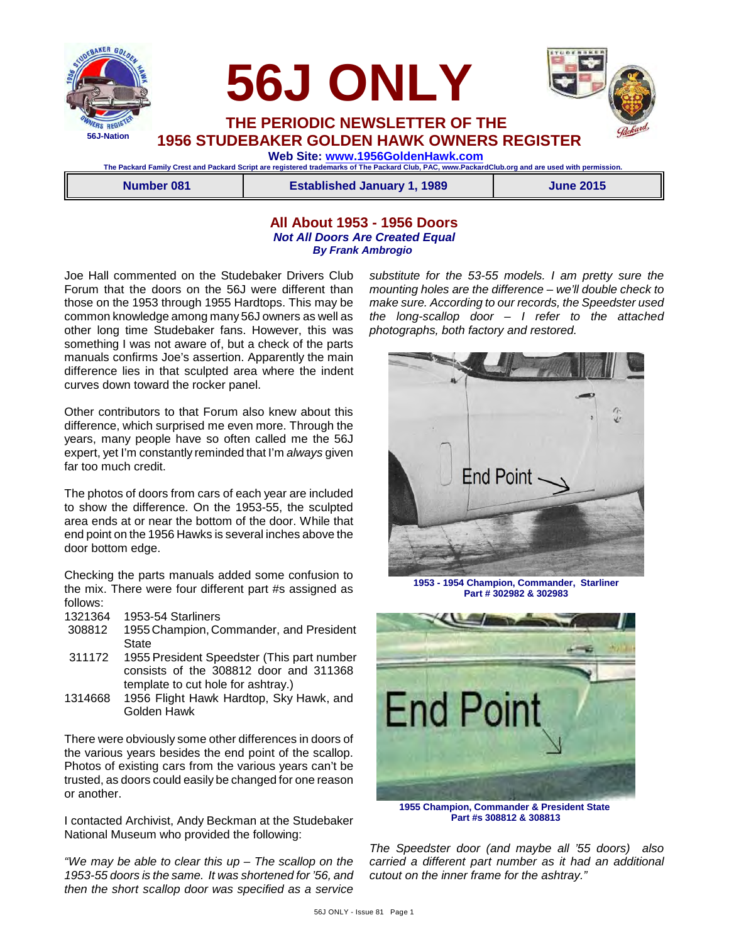



 **THE PERIODIC NEWSLETTER OF THE 1956 STUDEBAKER GOLDEN HAWK OWNERS REGISTER**

 **56J ONLY**

 **Web Site: [www.1956GoldenHawk.com](http://www.1956GoldenHawk.com) The Packard Family Crest and Packard Script are registered trademarks of The Packard Club, PAC, www.PackardClub.org and are used with permission.** 

|  | Number 081 | <b>Established January 1, 1989</b> | <b>June 2015</b> |
|--|------------|------------------------------------|------------------|
|--|------------|------------------------------------|------------------|

## **All About 1953 - 1956 Doors** *Not All Doors Are Created Equal By Frank Ambrogio*

Joe Hall commented on the Studebaker Drivers Club Forum that the doors on the 56J were different than those on the 1953 through 1955 Hardtops. This may be common knowledge among many 56J owners as well as other long time Studebaker fans. However, this was something I was not aware of, but a check of the parts manuals confirms Joe's assertion. Apparently the main difference lies in that sculpted area where the indent curves down toward the rocker panel.

Other contributors to that Forum also knew about this difference, which surprised me even more. Through the years, many people have so often called me the 56J expert, yet I'm constantly reminded that I'm *always* given far too much credit.

The photos of doors from cars of each year are included to show the difference. On the 1953-55, the sculpted area ends at or near the bottom of the door. While that end point on the 1956 Hawks is several inches above the door bottom edge.

Checking the parts manuals added some confusion to the mix. There were four different part #s assigned as follows:

- 1321364 1953-54 Starliners
- 1955 Champion, Commander, and President **State**
- 311172 1955 President Speedster (This part number consists of the 308812 door and 311368 template to cut hole for ashtray.)
- 1314668 1956 Flight Hawk Hardtop, Sky Hawk, and Golden Hawk

There were obviously some other differences in doors of the various years besides the end point of the scallop. Photos of existing cars from the various years can't be trusted, as doors could easily be changed for one reason or another.

I contacted Archivist, Andy Beckman at the Studebaker National Museum who provided the following:

*"We may be able to clear this up – The scallop on the 1953-55 doors is the same. It was shortened for '56, and then the short scallop door was specified as a service*

*substitute for the 53-55 models. I am pretty sure the mounting holes are the difference – we'll double check to make sure. According to our records, the Speedster used the long-scallop door – I refer to the attached photographs, both factory and restored.* 



**1953 - 1954 Champion, Commander, Starliner Part # 302982 & 302983**



**1955 Champion, Commander & President State Part #s 308812 & 308813**

*The Speedster door (and maybe all '55 doors) also carried a different part number as it had an additional cutout on the inner frame for the ashtray."*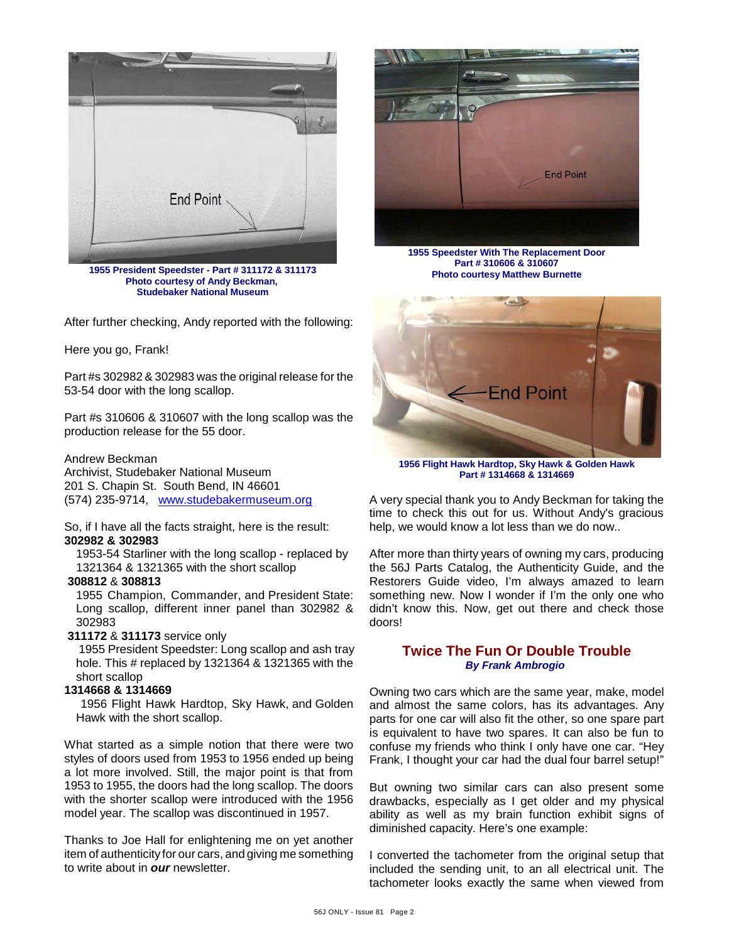

**1955 President Speedster - Part # 311172 & 311173 Photo courtesy of Andy Beckman, Studebaker National Museum**

After further checking, Andy reported with the following:

#### Here you go, Frank!

Part #s 302982 & 302983 was the original release for the 53-54 door with the long scallop.

Part #s 310606 & 310607 with the long scallop was the production release for the 55 door.

Andrew Beckman Archivist, Studebaker National Museum 201 S. Chapin St. South Bend, IN 46601 (574) 235-9714, [www.studebakermuseum.org](http://www.studebakermuseum.org)

So, if I have all the facts straight, here is the result: **302982 & 302983**

1953-54 Starliner with the long scallop - replaced by 1321364 & 1321365 with the short scallop

## **308812** & **308813**

 1955 Champion, Commander, and President State: Long scallop, different inner panel than 302982 & 302983

 **311172** & **311173** service only

 1955 President Speedster: Long scallop and ash tray hole. This # replaced by 1321364 & 1321365 with the short scallop

### **1314668 & 1314669**

 1956 Flight Hawk Hardtop, Sky Hawk, and Golden Hawk with the short scallop.

What started as a simple notion that there were two styles of doors used from 1953 to 1956 ended up being a lot more involved. Still, the major point is that from 1953 to 1955, the doors had the long scallop. The doors with the shorter scallop were introduced with the 1956 model year. The scallop was discontinued in 1957.

Thanks to Joe Hall for enlightening me on yet another item of authenticity for our cars, and giving me something to write about in *our* newsletter.



**1955 Speedster With The Replacement Door Part # 310606 & 310607 Photo courtesy Matthew Burnette**



**1956 Flight Hawk Hardtop, Sky Hawk & Golden Hawk Part # 1314668 & 1314669**

A very special thank you to Andy Beckman for taking the time to check this out for us. Without Andy's gracious help, we would know a lot less than we do now..

After more than thirty years of owning my cars, producing the 56J Parts Catalog, the Authenticity Guide, and the Restorers Guide video, I'm always amazed to learn something new. Now I wonder if I'm the only one who didn't know this. Now, get out there and check those doors!

## **Twice The Fun Or Double Trouble** *By Frank Ambrogio*

Owning two cars which are the same year, make, model and almost the same colors, has its advantages. Any parts for one car will also fit the other, so one spare part is equivalent to have two spares. It can also be fun to confuse my friends who think I only have one car. "Hey Frank, I thought your car had the dual four barrel setup!"

But owning two similar cars can also present some drawbacks, especially as I get older and my physical ability as well as my brain function exhibit signs of diminished capacity. Here's one example:

I converted the tachometer from the original setup that included the sending unit, to an all electrical unit. The tachometer looks exactly the same when viewed from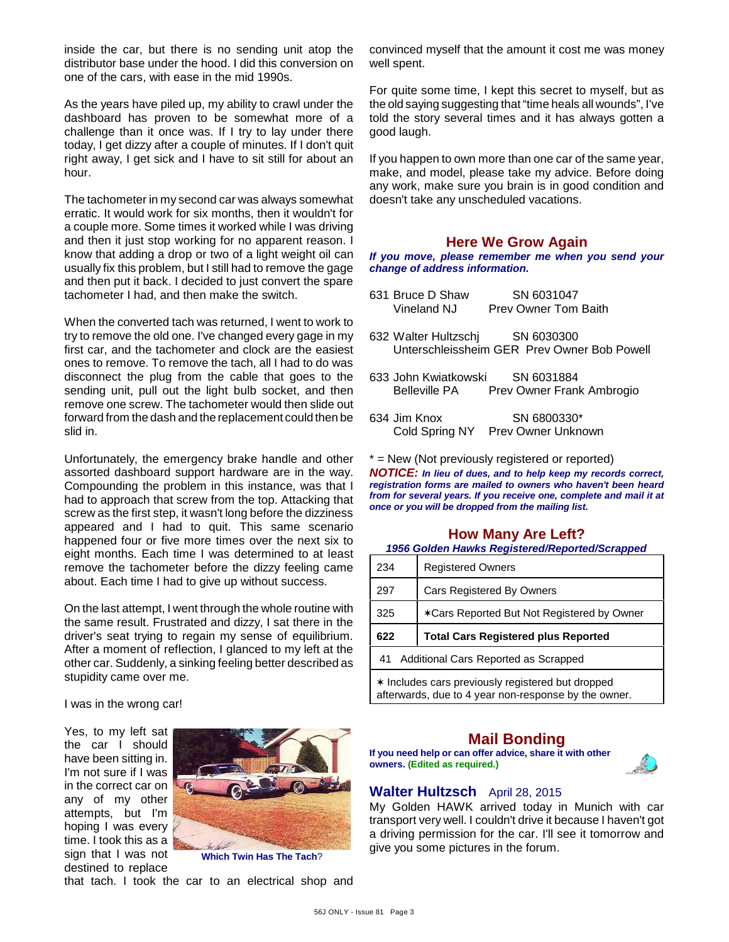inside the car, but there is no sending unit atop the distributor base under the hood. I did this conversion on one of the cars, with ease in the mid 1990s.

As the years have piled up, my ability to crawl under the dashboard has proven to be somewhat more of a challenge than it once was. If I try to lay under there today, I get dizzy after a couple of minutes. If I don't quit right away, I get sick and I have to sit still for about an hour.

The tachometer in my second car was always somewhat erratic. It would work for six months, then it wouldn't for a couple more. Some times it worked while I was driving and then it just stop working for no apparent reason. I know that adding a drop or two of a light weight oil can usually fix this problem, but I still had to remove the gage and then put it back. I decided to just convert the spare tachometer I had, and then make the switch.

When the converted tach was returned, I went to work to try to remove the old one. I've changed every gage in my first car, and the tachometer and clock are the easiest ones to remove. To remove the tach, all I had to do was disconnect the plug from the cable that goes to the sending unit, pull out the light bulb socket, and then remove one screw. The tachometer would then slide out forward from the dash and the replacement could then be slid in.

Unfortunately, the emergency brake handle and other assorted dashboard support hardware are in the way. Compounding the problem in this instance, was that I had to approach that screw from the top. Attacking that screw as the first step, it wasn't long before the dizziness appeared and I had to quit. This same scenario happened four or five more times over the next six to eight months. Each time I was determined to at least remove the tachometer before the dizzy feeling came about. Each time I had to give up without success.

On the last attempt, I went through the whole routine with the same result. Frustrated and dizzy, I sat there in the driver's seat trying to regain my sense of equilibrium. After a moment of reflection. I glanced to my left at the other car. Suddenly, a sinking feeling better described as stupidity came over me.

I was in the wrong car!

Yes, to my left sat the car I should have been sitting in. I'm not sure if I was in the correct car on any of my other attempts, but I'm hoping I was every time. I took this as a sign that I was not destined to replace



**Which Twin Has The Tach**?

that tach. I took the car to an electrical shop and

convinced myself that the amount it cost me was money well spent.

For quite some time, I kept this secret to myself, but as the old saying suggesting that "time heals all wounds", I've told the story several times and it has always gotten a good laugh.

If you happen to own more than one car of the same year, make, and model, please take my advice. Before doing any work, make sure you brain is in good condition and doesn't take any unscheduled vacations.

## **Here We Grow Again**

*If you move, please remember me when you send your change of address information.*

- 631 Bruce D Shaw SN 6031047 Vineland NJ Prev Owner Tom Baith
- 632 Walter Hultzschj SN 6030300 Unterschleissheim GER Prev Owner Bob Powell
- 633 John Kwiatkowski SN 6031884 Belleville PA Prev Owner Frank Ambrogio
- 634 Jim Knox SN 6800330\*<br>Cold Spring NY Prev Owner Unkno Prev Owner Unknown

\* = New (Not previously registered or reported)

*NOTICE: In lieu of dues, and to help keep my records correct, registration forms are mailed to owners who haven't been heard from for several years. If you receive one, complete and mail it at once or you will be dropped from the mailing list.*

# **How Many Are Left?**

*1956 Golden Hawks Registered/Reported/Scrapped*

| 234 | <b>Registered Owners</b>                   |  |
|-----|--------------------------------------------|--|
| 297 | <b>Cars Registered By Owners</b>           |  |
| 325 | *Cars Reported But Not Registered by Owner |  |
| 622 | <b>Total Cars Registered plus Reported</b> |  |
|     |                                            |  |
| 41  | Additional Cars Reported as Scrapped       |  |

# **Mail Bonding**

**If you need help or can offer advice, share it with other owners. (Edited as required.)**



## **Walter Hultzsch** April 28, 2015

My Golden HAWK arrived today in Munich with car transport very well. I couldn't drive it because I haven't got a driving permission for the car. I'll see it tomorrow and give you some pictures in the forum.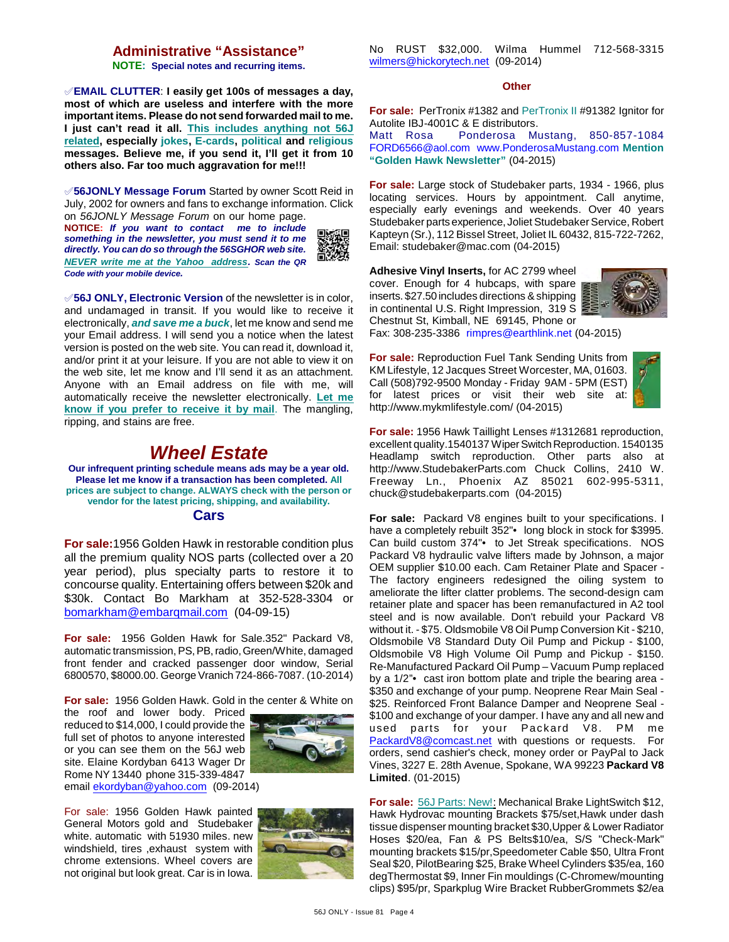## **Administrative "Assistance"**

**NOTE: Special notes and recurring items.**

°**EMAIL CLUTTER**: **I easily get 100s of messages a day, most of which are useless and interfere with the more important items. Please do not send forwarded mail to me. I just can't read it all. This includes anything not 56J related, especially jokes, E-cards, political and religious messages. Believe me, if you send it, I'll get it from 10 others also. Far too much aggravation for me!!!**

°**56JONLY Message Forum** Started by owner Scott Reid in July, 2002 for owners and fans to exchange information. Click on *56JONLY Message Forum* on our home page.

**NOTICE:** *If you want to contact me to include something in the newsletter, you must send it to me directly. You can do so through the 56SGHOR web site. NEVER write me at the Yahoo address. Scan the QR Code with your mobile device.* 



°**56J ONLY, Electronic Version** of the newsletter is in color, and undamaged in transit. If you would like to receive it electronically, *and save me a buck*, let me know and send me your Email address. I will send you a notice when the latest version is posted on the web site. You can read it, download it, and/or print it at your leisure. If you are not able to view it on the web site, let me know and I'll send it as an attachment. Anyone with an Email address on file with me, will automatically receive the newsletter electronically. **Let me know if you prefer to receive it by mail**. The mangling, ripping, and stains are free.

# *Wheel Estate*

**Our infrequent printing schedule means ads may be a year old. Please let me know if a transaction has been completed. All prices are subject to change. ALWAYS check with the person or vendor for the latest pricing, shipping, and availability. Cars**

**For sale:**1956 Golden Hawk in restorable condition plus all the premium quality NOS parts (collected over a 20 year period), plus specialty parts to restore it to concourse quality. Entertaining offers between \$20k and \$30k. Contact Bo Markham at 352-528-3304 or [bomarkham@embarqmail.com](mailto:bomarkham@embarqmail.com) (04-09-15)

**For sale:** 1956 Golden Hawk for Sale.352" Packard V8, automatic transmission, PS, PB, radio, Green/White, damaged front fender and cracked passenger door window, Serial 6800570, \$8000.00. George Vranich 724-866-7087. (10-2014)

**For sale:** 1956 Golden Hawk. Gold in the center & White on

the roof and lower body. Priced reduced to \$14,000, I could provide the full set of photos to anyone interested or you can see them on the 56J web site. Elaine Kordyban 6413 Wager Dr Rome NY 13440 phone 315-339-4847



email [ekordyban@yahoo.com](mailto:ekordyban@yahoo.com) (09-2014)

For sale: 1956 Golden Hawk painted General Motors gold and Studebaker white. automatic with 51930 miles. new windshield, tires ,exhaust system with chrome extensions. Wheel covers are not original but look great. Car is in Iowa.



No RUST \$32,000. Wilma Hummel 712-568-3315 [wilmers@hickorytech.net](mailto:wilmers@hickorytech.net) (09-2014)

#### **Other**

**For sale:** PerTronix #1382 and PerTronix II #91382 Ignitor for Autolite IBJ-4001C & E distributors.

Matt Rosa Ponderosa Mustang, 850-857-1084 [FORD6566@aol.com](mailto:FORD6566@aol.com) [www.PonderosaMustang.com](http://www.PonderosaMustang.com) **Mention "Golden Hawk Newsletter"** (04-2015)

**For sale:** Large stock of Studebaker parts, 1934 - 1966, plus locating services. Hours by appointment. Call anytime, especially early evenings and weekends. Over 40 years Studebaker parts experience, Joliet Studebaker Service, Robert Kapteyn (Sr.), 112 Bissel Street, Joliet IL 60432, 815-722-7262, Email: studebaker@mac.com (04-2015)

**Adhesive Vinyl Inserts,** for AC 2799 wheel cover. Enough for 4 hubcaps, with spare inserts. \$27.50 includes directions & shipping in continental U.S. Right Impression, 319 S Chestnut St, Kimball, NE 69145, Phone or



Fax: 308-235-3386 [rimpres@earthlink.net](mailto:rimpres@earthlink.net) (04-2015)

**For sale:** Reproduction Fuel Tank Sending Units from KM Lifestyle, 12 Jacques Street Worcester, MA, 01603. Call (508)792-9500 Monday - Friday 9AM - 5PM (EST) for latest prices or visit their web site at: http://www.mykmlifestyle.com/ (04-2015)



**For sale:** 1956 Hawk Taillight Lenses #1312681 reproduction, excellent quality.1540137 Wiper Switch Reproduction. 1540135 Headlamp switch reproduction. Other parts also at http://www.StudebakerParts.com Chuck Collins, 2410 W. Freeway Ln., Phoenix AZ 85021 602-995-5311, chuck@studebakerparts.com (04-2015)

**For sale:** Packard V8 engines built to your specifications. I have a completely rebuilt 352"• long block in stock for \$3995. Can build custom 374"• to Jet Streak specifications. NOS Packard V8 hydraulic valve lifters made by Johnson, a major OEM supplier \$10.00 each. Cam Retainer Plate and Spacer - The factory engineers redesigned the oiling system to ameliorate the lifter clatter problems. The second-design cam retainer plate and spacer has been remanufactured in A2 tool steel and is now available. Don't rebuild your Packard V8 without it. - \$75. Oldsmobile V8 Oil Pump Conversion Kit - \$210, Oldsmobile V8 Standard Duty Oil Pump and Pickup - \$100, Oldsmobile V8 High Volume Oil Pump and Pickup - \$150. Re-Manufactured Packard Oil Pump – Vacuum Pump replaced by a 1/2"• cast iron bottom plate and triple the bearing area - \$350 and exchange of your pump. Neoprene Rear Main Seal - \$25. Reinforced Front Balance Damper and Neoprene Seal -\$100 and exchange of your damper. I have any and all new and used parts for your Packard V8. PM me [PackardV8@comcast.net](mailto:PackardV8@comcast.net) with questions or requests. For orders, send cashier's check, money order or PayPal to Jack Vines, 3227 E. 28th Avenue, Spokane, WA 99223 **Packard V8 Limited**. (01-2015)

**For sale:** 56J Parts: New!: Mechanical Brake LightSwitch \$12, Hawk Hydrovac mounting Brackets \$75/set,Hawk under dash tissue dispenser mounting bracket \$30,Upper & Lower Radiator Hoses \$20/ea, Fan & PS Belts\$10/ea, S/S "Check-Mark" mounting brackets \$15/pr,Speedometer Cable \$50, Ultra Front Seal \$20, PilotBearing \$25, Brake Wheel Cylinders \$35/ea, 160 degThermostat \$9, Inner Fin mouldings (C-Chromew/mounting clips) \$95/pr, Sparkplug Wire Bracket RubberGrommets \$2/ea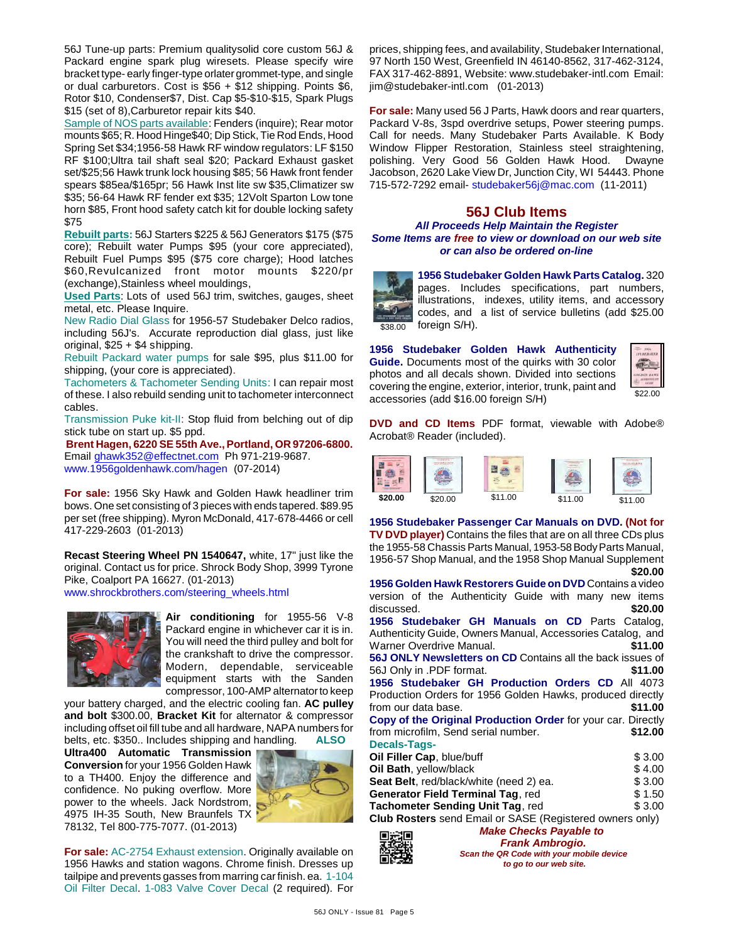56J Tune-up parts: Premium qualitysolid core custom 56J & Packard engine spark plug wiresets. Please specify wire bracket type- early finger-type orlater grommet-type, and single or dual carburetors. Cost is \$56 + \$12 shipping. Points \$6, Rotor \$10, Condenser\$7, Dist. Cap \$5-\$10-\$15, Spark Plugs \$15 (set of 8),Carburetor repair kits \$40.

Sample of NOS parts available: Fenders (inquire); Rear motor mounts \$65; R. Hood Hinge\$40; Dip Stick, Tie Rod Ends, Hood Spring Set \$34;1956-58 Hawk RF window regulators: LF \$150 RF \$100;Ultra tail shaft seal \$20; Packard Exhaust gasket set/\$25;56 Hawk trunk lock housing \$85; 56 Hawk front fender spears \$85ea/\$165pr; 56 Hawk Inst lite sw \$35,Climatizer sw \$35; 56-64 Hawk RF fender ext \$35; 12Volt Sparton Low tone horn \$85, Front hood safety catch kit for double locking safety \$75

**Rebuilt parts:** 56J Starters \$225 & 56J Generators \$175 (\$75 core); Rebuilt water Pumps \$95 (your core appreciated), Rebuilt Fuel Pumps \$95 (\$75 core charge); Hood latches \$60,Revulcanized front motor mounts \$220/pr (exchange),Stainless wheel mouldings,

**Used Parts**: Lots of used 56J trim, switches, gauges, sheet metal, etc. Please Inquire.

New Radio Dial Glass for 1956-57 Studebaker Delco radios, including 56J's. Accurate reproduction dial glass, just like original, \$25 + \$4 shipping.

Rebuilt Packard water pumps for sale \$95, plus \$11.00 for shipping, (your core is appreciated).

Tachometers & Tachometer Sending Units: I can repair most of these. I also rebuild sending unit to tachometer interconnect cables.

Transmission Puke kit-II: Stop fluid from belching out of dip stick tube on start up. \$5 ppd.

**Brent Hagen, 6220 SE 55th Ave., Portland, OR 97206-6800.** Email [ghawk352@effectnet.com](mailto:ghawk352@effectnet.com) Ph 971-219-9687. www.1956goldenhawk.com/hagen (07-2014)

**For sale:** 1956 Sky Hawk and Golden Hawk headliner trim bows. One set consisting of 3 pieces with ends tapered. \$89.95 per set (free shipping). Myron McDonald, 417-678-4466 or cell 417-229-2603 (01-2013)

**Recast Steering Wheel PN 1540647,** white, 17" just like the original. Contact us for price. Shrock Body Shop, 3999 Tyrone Pike, Coalport PA 16627. (01-2013) [www.shrockbrothers.com/steering\\_wheels.html](http://www.shrockbrothers.com/steering_wheels.html)



**Air conditioning** for 1955-56 V-8 Packard engine in whichever car it is in. You will need the third pulley and bolt for the crankshaft to drive the compressor. Modern, dependable, serviceable equipment starts with the Sanden compressor, 100-AMP alternator to keep

your battery charged, and the electric cooling fan. **AC pulley and bolt** \$300.00, **Bracket Kit** for alternator & compressor including offset oil fill tube and all hardware, NAPA numbers for belts, etc. \$350.. Includes shipping and handling. **ALSO**

**Ultra400 Automatic Transmission Conversion** for your 1956 Golden Hawk to a TH400. Enjoy the difference and confidence. No puking overflow. More power to the wheels. Jack Nordstrom, 4975 IH-35 South, New Braunfels TX 78132, Tel 800-775-7077. (01-2013)



**For sale:** AC-2754 Exhaust extension. Originally available on 1956 Hawks and station wagons. Chrome finish. Dresses up tailpipe and prevents gasses from marring car finish. ea. 1-104 Oil Filter Decal. 1-083 Valve Cover Decal (2 required). For prices, shipping fees, and availability, Studebaker International, 97 North 150 West, Greenfield IN 46140-8562, 317-462-3124, FAX 317-462-8891, Website: www.studebaker-intl.com Email: jim@studebaker-intl.com (01-2013)

**For sale:** Many used 56 J Parts, Hawk doors and rear quarters, Packard V-8s, 3spd overdrive setups, Power steering pumps. Call for needs. Many Studebaker Parts Available. K Body Window Flipper Restoration, Stainless steel straightening, polishing. Very Good 56 Golden Hawk Hood. Dwayne Jacobson, 2620 Lake View Dr, Junction City, WI 54443. Phone 715-572-7292 email- [studebaker56j@mac.com](mailto:studebaker56j@mac.com) (11-2011)

## **56J Club Items**

*All Proceeds Help Maintain the Register Some Items are free to view or download on our web site or can also be ordered on-line*

\$38.00 **1956 Studebaker Golden Hawk Parts Catalog.** 320 pages. Includes specifications, part numbers, illustrations, indexes, utility items, and accessory codes, and a list of service bulletins (add \$25.00 foreign S/H).

**1956 Studebaker Golden Hawk Authenticity Guide.** Documents most of the quirks with 30 color photos and all decals shown. Divided into sections covering the engine, exterior, interior, trunk, paint and accessories (add \$16.00 foreign S/H)



**DVD and CD Items** PDF format, viewable with Adobe® Acrobat® Reader (included).



**1956 Studebaker Passenger Car Manuals on DVD. (Not for TV DVD player)** Contains the files that are on all three CDs plus the 1955-58 Chassis Parts Manual, 1953-58 Body Parts Manual, 1956-57 Shop Manual, and the 1958 Shop Manual Supplement **\$20.00**

| 1956 Golden Hawk Restorers Guide on DVD Contains a video          |         |
|-------------------------------------------------------------------|---------|
| version of the Authenticity Guide with many new items             |         |
| discussed.                                                        | \$20.00 |
| 1956 Studebaker GH Manuals on CD Parts Catalog.                   |         |
| Authenticity Guide, Owners Manual, Accessories Catalog, and       |         |
| Warner Overdrive Manual.                                          | \$11.00 |
| <b>56J ONLY Newsletters on CD</b> Contains all the back issues of |         |
| 56J Only in .PDF format.                                          | \$11.00 |
| 1956 Studebaker GH Production Orders CD All 4073                  |         |
| Production Orders for 1956 Golden Hawks, produced directly        |         |
| from our data base.                                               | \$11.00 |
| Copy of the Original Production Order for your car. Directly      |         |
| from microfilm, Send serial number.                               | \$12.00 |
| <b>Decals-Tags-</b>                                               |         |
| Oil Filler Cap, blue/buff                                         | \$3.00  |
| Oil Bath, yellow/black                                            | \$4.00  |
| Seat Belt, red/black/white (need 2) ea.                           | \$3.00  |
| <b>Generator Field Terminal Tag, red</b>                          | \$1.50  |
| Tachometer Sending Unit Tag, red                                  | \$ 3.00 |
| <b>Club Rosters</b> send Email or SASE (Registered owners only)   |         |



*Make Checks Payable to Frank Ambrogio. Scan the QR Code with your mobile device to go to our web site.*